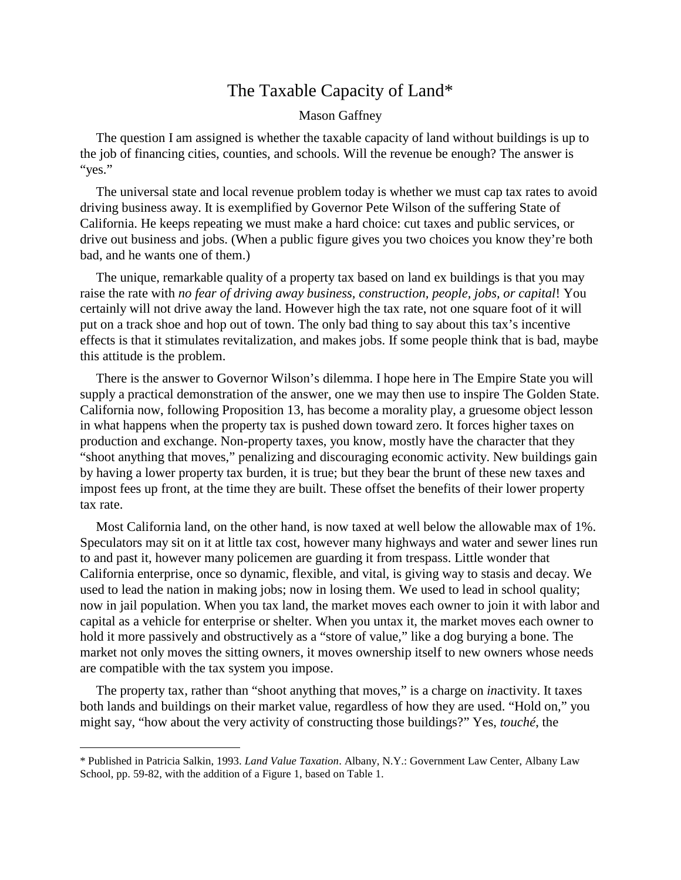## The Taxable Capacity ofLand[\\*](#page-0-0)

## Mason Gaffney

The question I am assigned is whether the taxable capacity of land without buildings is up to the job of financing cities, counties, and schools. Will the revenue be enough? The answer is "yes."

The universal state and local revenue problem today is whether we must cap tax rates to avoid driving business away. It is exemplified by Governor Pete Wilson of the suffering State of California. He keeps repeating we must make a hard choice: cut taxes and public services, or drive out business and jobs. (When a public figure gives you two choices you know they're both bad, and he wants one of them.)

The unique, remarkable quality of a property tax based on land ex buildings is that you may raise the rate with *no fear of driving away business, construction, people, jobs, or capital*! You certainly will not drive away the land. However high the tax rate, not one square foot of it will put on a track shoe and hop out of town. The only bad thing to say about this tax's incentive effects is that it stimulates revitalization, and makes jobs. If some people think that is bad, maybe this attitude is the problem.

There is the answer to Governor Wilson's dilemma. I hope here in The Empire State you will supply a practical demonstration of the answer, one we may then use to inspire The Golden State. California now, following Proposition 13, has become a morality play, a gruesome object lesson in what happens when the property tax is pushed down toward zero. It forces higher taxes on production and exchange. Non-property taxes, you know, mostly have the character that they "shoot anything that moves," penalizing and discouraging economic activity. New buildings gain by having a lower property tax burden, it is true; but they bear the brunt of these new taxes and impost fees up front, at the time they are built. These offset the benefits of their lower property tax rate.

Most California land, on the other hand, is now taxed at well below the allowable max of 1%. Speculators may sit on it at little tax cost, however many highways and water and sewer lines run to and past it, however many policemen are guarding it from trespass. Little wonder that California enterprise, once so dynamic, flexible, and vital, is giving way to stasis and decay. We used to lead the nation in making jobs; now in losing them. We used to lead in school quality; now in jail population. When you tax land, the market moves each owner to join it with labor and capital as a vehicle for enterprise or shelter. When you untax it, the market moves each owner to hold it more passively and obstructively as a "store of value," like a dog burying a bone. The market not only moves the sitting owners, it moves ownership itself to new owners whose needs are compatible with the tax system you impose.

The property tax, rather than "shoot anything that moves," is a charge on *in*activity. It taxes both lands and buildings on their market value, regardless of how they are used. "Hold on," you might say, "how about the very activity of constructing those buildings?" Yes, *touché*, the

<span id="page-0-0"></span><sup>\*</sup> Published in Patricia Salkin, 1993. *Land Value Taxation*. Albany, N.Y.: Government Law Center, Albany Law School, pp. 59-82, with the addition of a Figure 1, based on Table 1.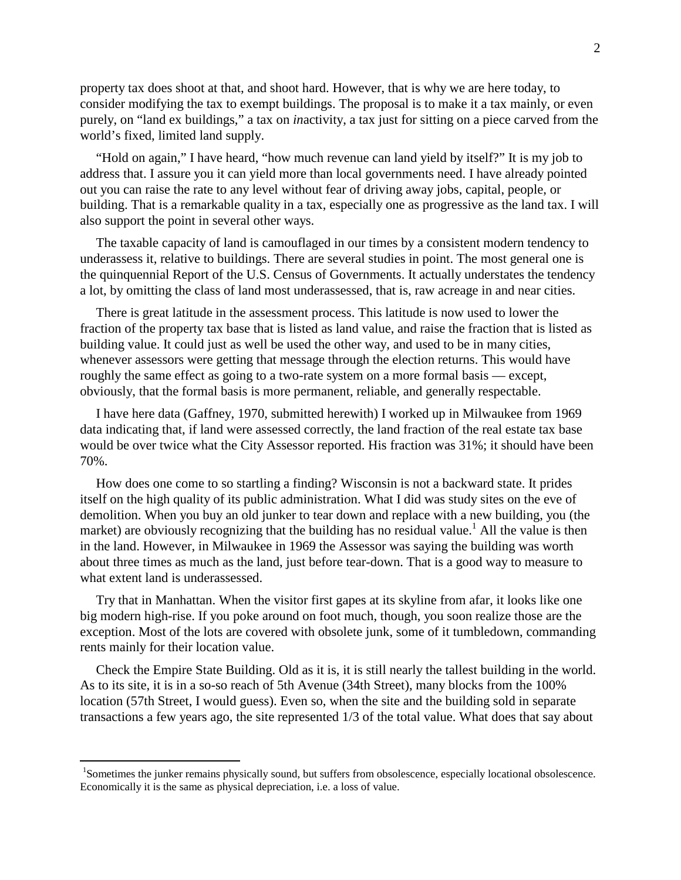property tax does shoot at that, and shoot hard. However, that is why we are here today, to consider modifying the tax to exempt buildings. The proposal is to make it a tax mainly, or even purely, on "land ex buildings," a tax on *in*activity, a tax just for sitting on a piece carved from the world's fixed, limited land supply.

"Hold on again," I have heard, "how much revenue can land yield by itself?" It is my job to address that. I assure you it can yield more than local governments need. I have already pointed out you can raise the rate to any level without fear of driving away jobs, capital, people, or building. That is a remarkable quality in a tax, especially one as progressive as the land tax. I will also support the point in several other ways.

The taxable capacity of land is camouflaged in our times by a consistent modern tendency to underassess it, relative to buildings. There are several studies in point. The most general one is the quinquennial Report of the U.S. Census of Governments. It actually understates the tendency a lot, by omitting the class of land most underassessed, that is, raw acreage in and near cities.

There is great latitude in the assessment process. This latitude is now used to lower the fraction of the property tax base that is listed as land value, and raise the fraction that is listed as building value. It could just as well be used the other way, and used to be in many cities, whenever assessors were getting that message through the election returns. This would have roughly the same effect as going to a two-rate system on a more formal basis — except, obviously, that the formal basis is more permanent, reliable, and generally respectable.

I have here data (Gaffney, 1970, submitted herewith) I worked up in Milwaukee from 1969 data indicating that, if land were assessed correctly, the land fraction of the real estate tax base would be over twice what the City Assessor reported. His fraction was 31%; it should have been 70%.

How does one come to so startling a finding? Wisconsin is not a backward state. It prides itself on the high quality of its public administration. What I did was study sites on the eve of demolition. When you buy an old junker to tear down and replace with a new building, you (the market) are obviously recognizing that the building has no residual value.<sup>[1](#page-1-0)</sup> All the value is then in the land. However, in Milwaukee in 1969 the Assessor was saying the building was worth about three times as much as the land, just before tear-down. That is a good way to measure to what extent land is underassessed.

Try that in Manhattan. When the visitor first gapes at its skyline from afar, it looks like one big modern high-rise. If you poke around on foot much, though, you soon realize those are the exception. Most of the lots are covered with obsolete junk, some of it tumbledown, commanding rents mainly for their location value.

Check the Empire State Building. Old as it is, it is still nearly the tallest building in the world. As to its site, it is in a so-so reach of 5th Avenue (34th Street), many blocks from the 100% location (57th Street, I would guess). Even so, when the site and the building sold in separate transactions a few years ago, the site represented 1/3 of the total value. What does that say about

<span id="page-1-0"></span><sup>&</sup>lt;sup>1</sup>Sometimes the junker remains physically sound, but suffers from obsolescence, especially locational obsolescence. Economically it is the same as physical depreciation, i.e. a loss of value.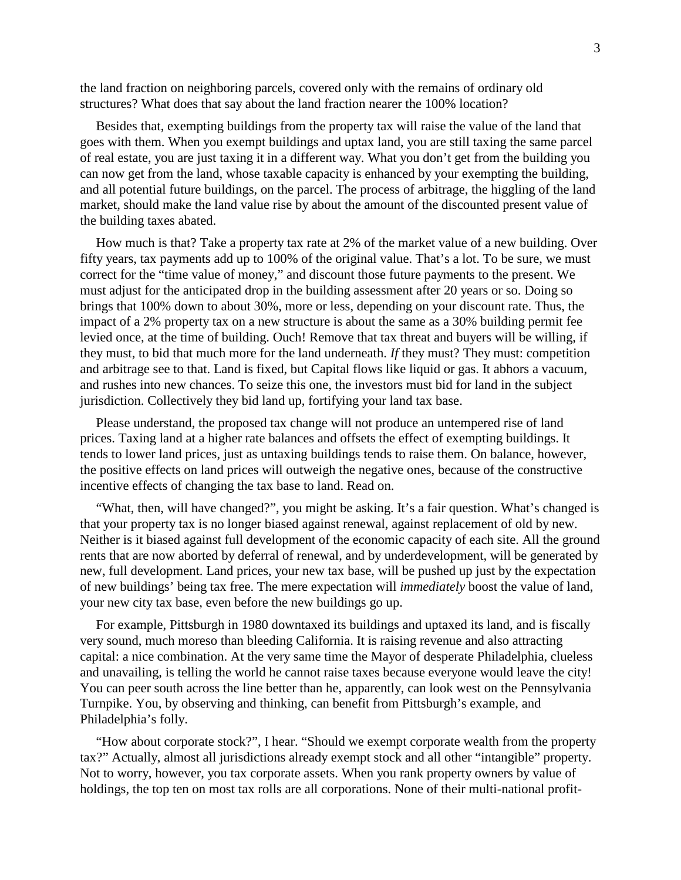the land fraction on neighboring parcels, covered only with the remains of ordinary old structures? What does that say about the land fraction nearer the 100% location?

Besides that, exempting buildings from the property tax will raise the value of the land that goes with them. When you exempt buildings and uptax land, you are still taxing the same parcel of real estate, you are just taxing it in a different way. What you don't get from the building you can now get from the land, whose taxable capacity is enhanced by your exempting the building, and all potential future buildings, on the parcel. The process of arbitrage, the higgling of the land market, should make the land value rise by about the amount of the discounted present value of the building taxes abated.

How much is that? Take a property tax rate at 2% of the market value of a new building. Over fifty years, tax payments add up to 100% of the original value. That's a lot. To be sure, we must correct for the "time value of money," and discount those future payments to the present. We must adjust for the anticipated drop in the building assessment after 20 years or so. Doing so brings that 100% down to about 30%, more or less, depending on your discount rate. Thus, the impact of a 2% property tax on a new structure is about the same as a 30% building permit fee levied once, at the time of building. Ouch! Remove that tax threat and buyers will be willing, if they must, to bid that much more for the land underneath. *If* they must? They must: competition and arbitrage see to that. Land is fixed, but Capital flows like liquid or gas. It abhors a vacuum, and rushes into new chances. To seize this one, the investors must bid for land in the subject jurisdiction. Collectively they bid land up, fortifying your land tax base.

Please understand, the proposed tax change will not produce an untempered rise of land prices. Taxing land at a higher rate balances and offsets the effect of exempting buildings. It tends to lower land prices, just as untaxing buildings tends to raise them. On balance, however, the positive effects on land prices will outweigh the negative ones, because of the constructive incentive effects of changing the tax base to land. Read on.

"What, then, will have changed?", you might be asking. It's a fair question. What's changed is that your property tax is no longer biased against renewal, against replacement of old by new. Neither is it biased against full development of the economic capacity of each site. All the ground rents that are now aborted by deferral of renewal, and by underdevelopment, will be generated by new, full development. Land prices, your new tax base, will be pushed up just by the expectation of new buildings' being tax free. The mere expectation will *immediately* boost the value of land, your new city tax base, even before the new buildings go up.

For example, Pittsburgh in 1980 downtaxed its buildings and uptaxed its land, and is fiscally very sound, much moreso than bleeding California. It is raising revenue and also attracting capital: a nice combination. At the very same time the Mayor of desperate Philadelphia, clueless and unavailing, is telling the world he cannot raise taxes because everyone would leave the city! You can peer south across the line better than he, apparently, can look west on the Pennsylvania Turnpike. You, by observing and thinking, can benefit from Pittsburgh's example, and Philadelphia's folly.

"How about corporate stock?", I hear. "Should we exempt corporate wealth from the property tax?" Actually, almost all jurisdictions already exempt stock and all other "intangible" property. Not to worry, however, you tax corporate assets. When you rank property owners by value of holdings, the top ten on most tax rolls are all corporations. None of their multi-national profit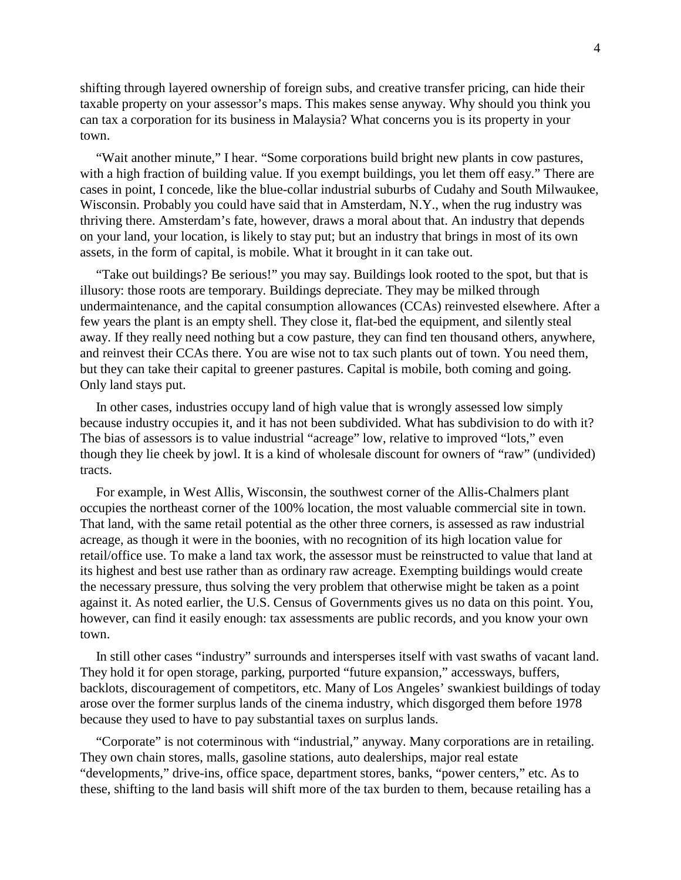shifting through layered ownership of foreign subs, and creative transfer pricing, can hide their taxable property on your assessor's maps. This makes sense anyway. Why should you think you can tax a corporation for its business in Malaysia? What concerns you is its property in your town.

"Wait another minute," I hear. "Some corporations build bright new plants in cow pastures, with a high fraction of building value. If you exempt buildings, you let them off easy." There are cases in point, I concede, like the blue-collar industrial suburbs of Cudahy and South Milwaukee, Wisconsin. Probably you could have said that in Amsterdam, N.Y., when the rug industry was thriving there. Amsterdam's fate, however, draws a moral about that. An industry that depends on your land, your location, is likely to stay put; but an industry that brings in most of its own assets, in the form of capital, is mobile. What it brought in it can take out.

"Take out buildings? Be serious!" you may say. Buildings look rooted to the spot, but that is illusory: those roots are temporary. Buildings depreciate. They may be milked through undermaintenance, and the capital consumption allowances (CCAs) reinvested elsewhere. After a few years the plant is an empty shell. They close it, flat-bed the equipment, and silently steal away. If they really need nothing but a cow pasture, they can find ten thousand others, anywhere, and reinvest their CCAs there. You are wise not to tax such plants out of town. You need them, but they can take their capital to greener pastures. Capital is mobile, both coming and going. Only land stays put.

In other cases, industries occupy land of high value that is wrongly assessed low simply because industry occupies it, and it has not been subdivided. What has subdivision to do with it? The bias of assessors is to value industrial "acreage" low, relative to improved "lots," even though they lie cheek by jowl. It is a kind of wholesale discount for owners of "raw" (undivided) tracts.

For example, in West Allis, Wisconsin, the southwest corner of the Allis-Chalmers plant occupies the northeast corner of the 100% location, the most valuable commercial site in town. That land, with the same retail potential as the other three corners, is assessed as raw industrial acreage, as though it were in the boonies, with no recognition of its high location value for retail/office use. To make a land tax work, the assessor must be reinstructed to value that land at its highest and best use rather than as ordinary raw acreage. Exempting buildings would create the necessary pressure, thus solving the very problem that otherwise might be taken as a point against it. As noted earlier, the U.S. Census of Governments gives us no data on this point. You, however, can find it easily enough: tax assessments are public records, and you know your own town.

In still other cases "industry" surrounds and intersperses itself with vast swaths of vacant land. They hold it for open storage, parking, purported "future expansion," accessways, buffers, backlots, discouragement of competitors, etc. Many of Los Angeles' swankiest buildings of today arose over the former surplus lands of the cinema industry, which disgorged them before 1978 because they used to have to pay substantial taxes on surplus lands.

"Corporate" is not coterminous with "industrial," anyway. Many corporations are in retailing. They own chain stores, malls, gasoline stations, auto dealerships, major real estate "developments," drive-ins, office space, department stores, banks, "power centers," etc. As to these, shifting to the land basis will shift more of the tax burden to them, because retailing has a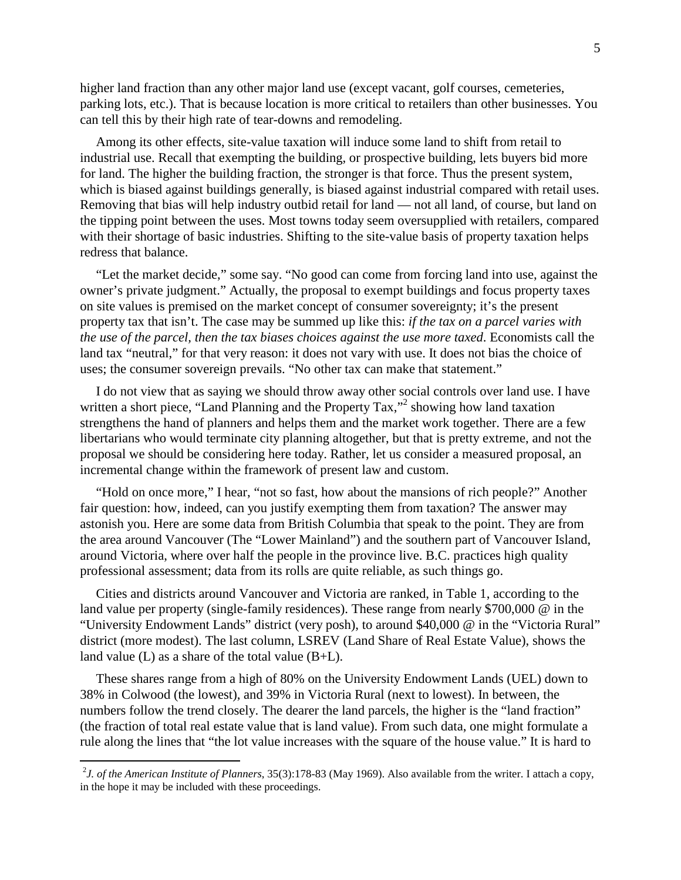higher land fraction than any other major land use (except vacant, golf courses, cemeteries, parking lots, etc.). That is because location is more critical to retailers than other businesses. You can tell this by their high rate of tear-downs and remodeling.

Among its other effects, site-value taxation will induce some land to shift from retail to industrial use. Recall that exempting the building, or prospective building, lets buyers bid more for land. The higher the building fraction, the stronger is that force. Thus the present system, which is biased against buildings generally, is biased against industrial compared with retail uses. Removing that bias will help industry outbid retail for land — not all land, of course, but land on the tipping point between the uses. Most towns today seem oversupplied with retailers, compared with their shortage of basic industries. Shifting to the site-value basis of property taxation helps redress that balance.

"Let the market decide," some say. "No good can come from forcing land into use, against the owner's private judgment." Actually, the proposal to exempt buildings and focus property taxes on site values is premised on the market concept of consumer sovereignty; it's the present property tax that isn't. The case may be summed up like this: *if the tax on a parcel varies with the use of the parcel, then the tax biases choices against the use more taxed*. Economists call the land tax "neutral," for that very reason: it does not vary with use. It does not bias the choice of uses; the consumer sovereign prevails. "No other tax can make that statement."

I do not view that as saying we should throw away other social controls over land use. I have writtena short piece, ["](#page-4-0)Land Planning and the Property Tax,"<sup>2</sup> showing how land taxation strengthens the hand of planners and helps them and the market work together. There are a few libertarians who would terminate city planning altogether, but that is pretty extreme, and not the proposal we should be considering here today. Rather, let us consider a measured proposal, an incremental change within the framework of present law and custom.

"Hold on once more," I hear, "not so fast, how about the mansions of rich people?" Another fair question: how, indeed, can you justify exempting them from taxation? The answer may astonish you. Here are some data from British Columbia that speak to the point. They are from the area around Vancouver (The "Lower Mainland") and the southern part of Vancouver Island, around Victoria, where over half the people in the province live. B.C. practices high quality professional assessment; data from its rolls are quite reliable, as such things go.

Cities and districts around Vancouver and Victoria are ranked, in Table 1, according to the land value per property (single-family residences). These range from nearly \$700,000 @ in the "University Endowment Lands" district (very posh), to around \$40,000 @ in the "Victoria Rural" district (more modest). The last column, LSREV (Land Share of Real Estate Value), shows the land value  $(L)$  as a share of the total value  $(B+L)$ .

These shares range from a high of 80% on the University Endowment Lands (UEL) down to 38% in Colwood (the lowest), and 39% in Victoria Rural (next to lowest). In between, the numbers follow the trend closely. The dearer the land parcels, the higher is the "land fraction" (the fraction of total real estate value that is land value). From such data, one might formulate a rule along the lines that "the lot value increases with the square of the house value." It is hard to

<span id="page-4-0"></span><sup>2</sup> *J. of the American Institute of Planners*, 35(3):178-83 (May 1969). Also available from the writer. I attach a copy, in the hope it may be included with these proceedings.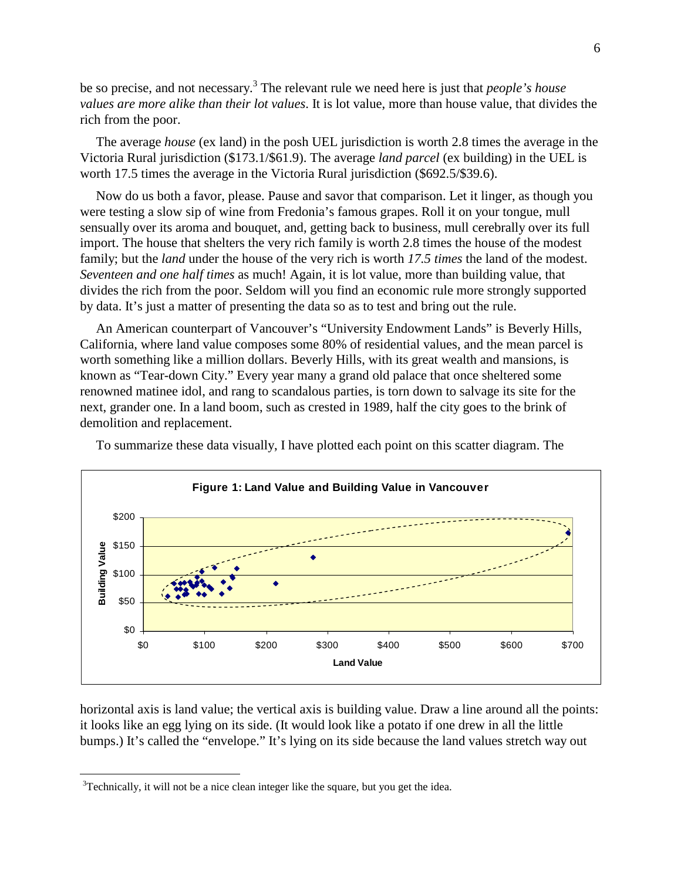be so precise, and not necessary.[3](#page-5-0) The relevant rule we need here is just that *people's house values are more alike than their lot values*. It is lot value, more than house value, that divides the rich from the poor.

The average *house* (ex land) in the posh UEL jurisdiction is worth 2.8 times the average in the Victoria Rural jurisdiction (\$173.1/\$61.9). The average *land parcel* (ex building) in the UEL is worth 17.5 times the average in the Victoria Rural jurisdiction (\$692.5/\$39.6).

Now do us both a favor, please. Pause and savor that comparison. Let it linger, as though you were testing a slow sip of wine from Fredonia's famous grapes. Roll it on your tongue, mull sensually over its aroma and bouquet, and, getting back to business, mull cerebrally over its full import. The house that shelters the very rich family is worth 2.8 times the house of the modest family; but the *land* under the house of the very rich is worth *17.5 times* the land of the modest. *Seventeen and one half times* as much! Again, it is lot value, more than building value, that divides the rich from the poor. Seldom will you find an economic rule more strongly supported by data. It's just a matter of presenting the data so as to test and bring out the rule.

An American counterpart of Vancouver's "University Endowment Lands" is Beverly Hills, California, where land value composes some 80% of residential values, and the mean parcel is worth something like a million dollars. Beverly Hills, with its great wealth and mansions, is known as "Tear-down City." Every year many a grand old palace that once sheltered some renowned matinee idol, and rang to scandalous parties, is torn down to salvage its site for the next, grander one. In a land boom, such as crested in 1989, half the city goes to the brink of demolition and replacement.

To summarize these data visually, I have plotted each point on this scatter diagram. The



horizontal axis is land value; the vertical axis is building value. Draw a line around all the points: it looks like an egg lying on its side. (It would look like a potato if one drew in all the little bumps.) It's called the "envelope." It's lying on its side because the land values stretch way out

<span id="page-5-0"></span> $3$ Technically, it will not be a nice clean integer like the square, but you get the idea.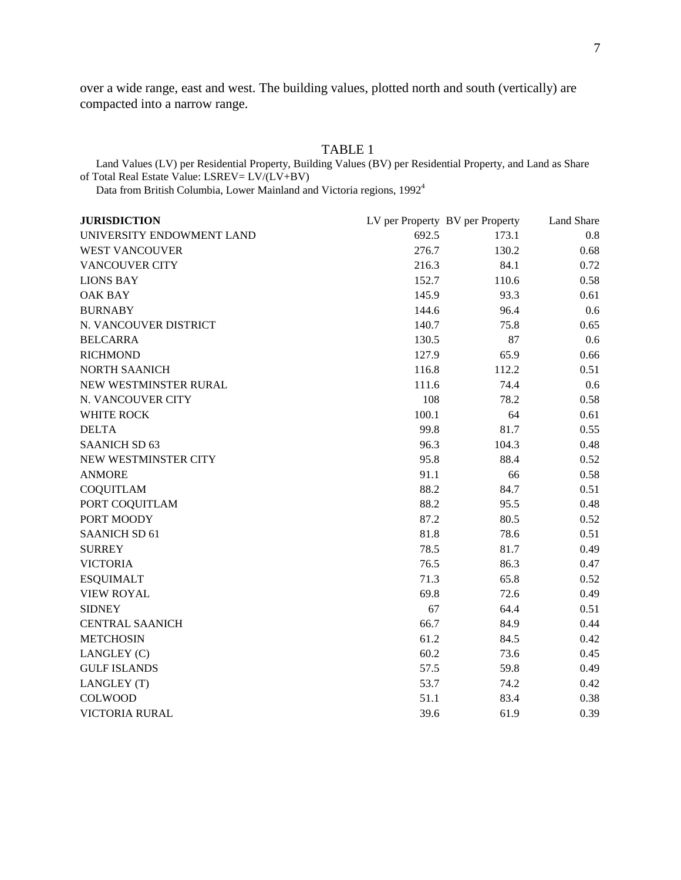<span id="page-6-0"></span>over a wide range, east and west. The building values, plotted north and south (vertically) are compacted into a narrow range.

| Land Values (LV) per Residential Property, Building Values (BV) per Residential Property, and Land as Share<br>of Total Real Estate Value: LSREV= LV/(LV+BV)<br>Data from British Columbia, Lower Mainland and Victoria regions, 1992 <sup>4</sup> |       |       |      |
|----------------------------------------------------------------------------------------------------------------------------------------------------------------------------------------------------------------------------------------------------|-------|-------|------|
|                                                                                                                                                                                                                                                    |       |       |      |
| UNIVERSITY ENDOWMENT LAND                                                                                                                                                                                                                          | 692.5 | 173.1 | 0.8  |
| <b>WEST VANCOUVER</b>                                                                                                                                                                                                                              | 276.7 | 130.2 | 0.68 |
| <b>VANCOUVER CITY</b>                                                                                                                                                                                                                              | 216.3 | 84.1  | 0.72 |
| <b>LIONS BAY</b>                                                                                                                                                                                                                                   | 152.7 | 110.6 | 0.58 |
| <b>OAK BAY</b>                                                                                                                                                                                                                                     | 145.9 | 93.3  | 0.61 |
| <b>BURNABY</b>                                                                                                                                                                                                                                     | 144.6 | 96.4  | 0.6  |
| N. VANCOUVER DISTRICT                                                                                                                                                                                                                              | 140.7 | 75.8  | 0.65 |
| <b>BELCARRA</b>                                                                                                                                                                                                                                    | 130.5 | 87    | 0.6  |
| <b>RICHMOND</b>                                                                                                                                                                                                                                    | 127.9 | 65.9  | 0.66 |
| NORTH SAANICH                                                                                                                                                                                                                                      | 116.8 | 112.2 | 0.51 |
| NEW WESTMINSTER RURAL                                                                                                                                                                                                                              | 111.6 | 74.4  | 0.6  |
| N. VANCOUVER CITY                                                                                                                                                                                                                                  | 108   | 78.2  | 0.58 |
| WHITE ROCK                                                                                                                                                                                                                                         | 100.1 | 64    | 0.61 |
| <b>DELTA</b>                                                                                                                                                                                                                                       | 99.8  | 81.7  | 0.55 |
| <b>SAANICH SD 63</b>                                                                                                                                                                                                                               | 96.3  | 104.3 | 0.48 |
| NEW WESTMINSTER CITY                                                                                                                                                                                                                               | 95.8  | 88.4  | 0.52 |
| <b>ANMORE</b>                                                                                                                                                                                                                                      | 91.1  | 66    | 0.58 |
| <b>COQUITLAM</b>                                                                                                                                                                                                                                   | 88.2  | 84.7  | 0.51 |
| PORT COQUITLAM                                                                                                                                                                                                                                     | 88.2  | 95.5  | 0.48 |
| PORT MOODY                                                                                                                                                                                                                                         | 87.2  | 80.5  | 0.52 |
| <b>SAANICH SD 61</b>                                                                                                                                                                                                                               | 81.8  | 78.6  | 0.51 |
| <b>SURREY</b>                                                                                                                                                                                                                                      | 78.5  | 81.7  | 0.49 |
| <b>VICTORIA</b>                                                                                                                                                                                                                                    | 76.5  | 86.3  | 0.47 |
| <b>ESQUIMALT</b>                                                                                                                                                                                                                                   | 71.3  | 65.8  | 0.52 |
| <b>VIEW ROYAL</b>                                                                                                                                                                                                                                  | 69.8  | 72.6  | 0.49 |
| <b>SIDNEY</b>                                                                                                                                                                                                                                      | 67    | 64.4  | 0.51 |
| <b>CENTRAL SAANICH</b>                                                                                                                                                                                                                             | 66.7  | 84.9  | 0.44 |
| <b>METCHOSIN</b>                                                                                                                                                                                                                                   | 61.2  | 84.5  | 0.42 |
| LANGLEY (C)                                                                                                                                                                                                                                        | 60.2  | 73.6  | 0.45 |
| <b>GULF ISLANDS</b>                                                                                                                                                                                                                                | 57.5  | 59.8  | 0.49 |
| LANGLEY (T)                                                                                                                                                                                                                                        | 53.7  | 74.2  | 0.42 |
| COLWOOD                                                                                                                                                                                                                                            | 51.1  | 83.4  | 0.38 |
| <b>VICTORIA RURAL</b>                                                                                                                                                                                                                              | 39.6  | 61.9  | 0.39 |

## TABLE 1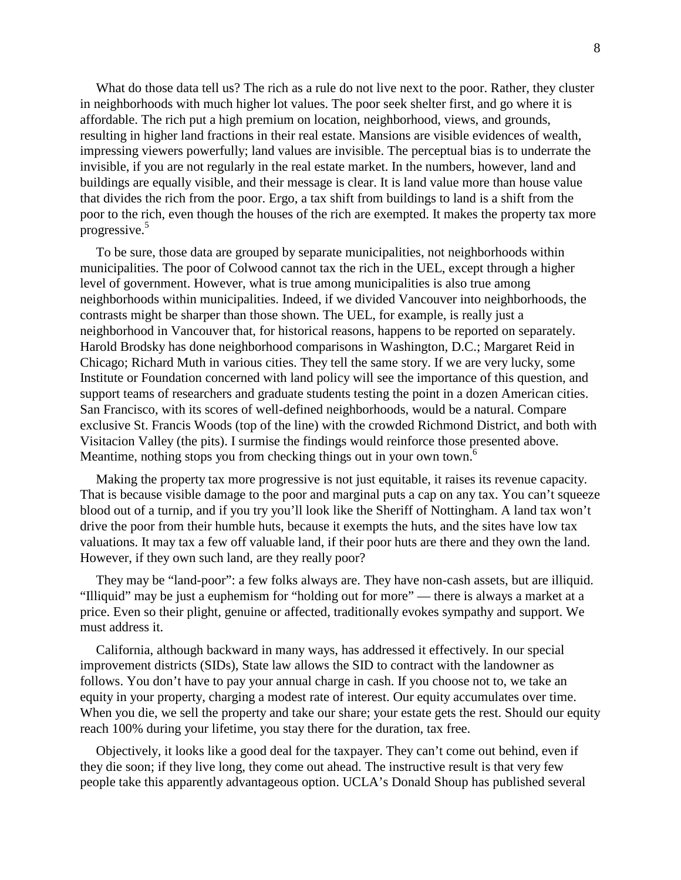<span id="page-7-0"></span>What do those data tell us? The rich as a rule do not live next to the poor. Rather, they cluster in neighborhoods with much higher lot values. The poor seek shelter first, and go where it is affordable. The rich put a high premium on location, neighborhood, views, and grounds, resulting in higher land fractions in their real estate. Mansions are visible evidences of wealth, impressing viewers powerfully; land values are invisible. The perceptual bias is to underrate the invisible, if you are not regularly in the real estate market. In the numbers, however, land and buildings are equally visible, and their message is clear. It is land value more than house value that divides the rich from the poor. Ergo, a tax shift from buildings to land is a shift from the poor to the rich, even though the houses of the rich are exempted. It makes the property tax more progressive.[5](#page-7-0)

To be sure, those data are grouped by separate municipalities, not neighborhoods within municipalities. The poor of Colwood cannot tax the rich in the UEL, except through a higher level of government. However, what is true among municipalities is also true among neighborhoods within municipalities. Indeed, if we divided Vancouver into neighborhoods, the contrasts might be sharper than those shown. The UEL, for example, is really just a neighborhood in Vancouver that, for historical reasons, happens to be reported on separately. Harold Brodsky has done neighborhood comparisons in Washington, D.C.; Margaret Reid in Chicago; Richard Muth in various cities. They tell the same story. If we are very lucky, some Institute or Foundation concerned with land policy will see the importance of this question, and support teams of researchers and graduate students testing the point in a dozen American cities. San Francisco, with its scores of well-defined neighborhoods, would be a natural. Compare exclusive St. Francis Woods (top of the line) with the crowded Richmond District, and both with Visitacion Valley (the pits). I surmise the findings would reinforce those presented above. Meantime,nothing stops you from checking things out in your own town[.](#page-7-0)<sup>6</sup>

Making the property tax more progressive is not just equitable, it raises its revenue capacity. That is because visible damage to the poor and marginal puts a cap on any tax. You can't squeeze blood out of a turnip, and if you try you'll look like the Sheriff of Nottingham. A land tax won't drive the poor from their humble huts, because it exempts the huts, and the sites have low tax valuations. It may tax a few off valuable land, if their poor huts are there and they own the land. However, if they own such land, are they really poor?

They may be "land-poor": a few folks always are. They have non-cash assets, but are illiquid. "Illiquid" may be just a euphemism for "holding out for more" — there is always a market at a price. Even so their plight, genuine or affected, traditionally evokes sympathy and support. We must address it.

California, although backward in many ways, has addressed it effectively. In our special improvement districts (SIDs), State law allows the SID to contract with the landowner as follows. You don't have to pay your annual charge in cash. If you choose not to, we take an equity in your property, charging a modest rate of interest. Our equity accumulates over time. When you die, we sell the property and take our share; your estate gets the rest. Should our equity reach 100% during your lifetime, you stay there for the duration, tax free.

Objectively, it looks like a good deal for the taxpayer. They can't come out behind, even if they die soon; if they live long, they come out ahead. The instructive result is that very few people take this apparently advantageous option. UCLA's Donald Shoup has published several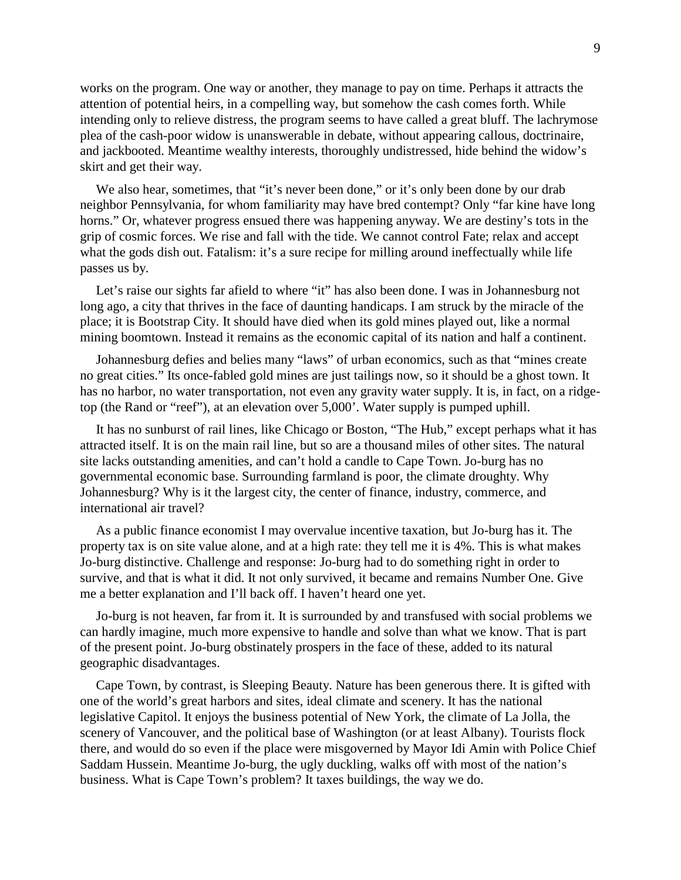works on the program. One way or another, they manage to pay on time. Perhaps it attracts the attention of potential heirs, in a compelling way, but somehow the cash comes forth. While intending only to relieve distress, the program seems to have called a great bluff. The lachrymose plea of the cash-poor widow is unanswerable in debate, without appearing callous, doctrinaire, and jackbooted. Meantime wealthy interests, thoroughly undistressed, hide behind the widow's skirt and get their way.

We also hear, sometimes, that "it's never been done," or it's only been done by our drab neighbor Pennsylvania, for whom familiarity may have bred contempt? Only "far kine have long horns." Or, whatever progress ensued there was happening anyway. We are destiny's tots in the grip of cosmic forces. We rise and fall with the tide. We cannot control Fate; relax and accept what the gods dish out. Fatalism: it's a sure recipe for milling around ineffectually while life passes us by.

Let's raise our sights far afield to where "it" has also been done. I was in Johannesburg not long ago, a city that thrives in the face of daunting handicaps. I am struck by the miracle of the place; it is Bootstrap City. It should have died when its gold mines played out, like a normal mining boomtown. Instead it remains as the economic capital of its nation and half a continent.

Johannesburg defies and belies many "laws" of urban economics, such as that "mines create no great cities." Its once-fabled gold mines are just tailings now, so it should be a ghost town. It has no harbor, no water transportation, not even any gravity water supply. It is, in fact, on a ridgetop (the Rand or "reef"), at an elevation over 5,000'. Water supply is pumped uphill.

It has no sunburst of rail lines, like Chicago or Boston, "The Hub," except perhaps what it has attracted itself. It is on the main rail line, but so are a thousand miles of other sites. The natural site lacks outstanding amenities, and can't hold a candle to Cape Town. Jo-burg has no governmental economic base. Surrounding farmland is poor, the climate droughty. Why Johannesburg? Why is it the largest city, the center of finance, industry, commerce, and international air travel?

As a public finance economist I may overvalue incentive taxation, but Jo-burg has it. The property tax is on site value alone, and at a high rate: they tell me it is 4%. This is what makes Jo-burg distinctive. Challenge and response: Jo-burg had to do something right in order to survive, and that is what it did. It not only survived, it became and remains Number One. Give me a better explanation and I'll back off. I haven't heard one yet.

Jo-burg is not heaven, far from it. It is surrounded by and transfused with social problems we can hardly imagine, much more expensive to handle and solve than what we know. That is part of the present point. Jo-burg obstinately prospers in the face of these, added to its natural geographic disadvantages.

Cape Town, by contrast, is Sleeping Beauty. Nature has been generous there. It is gifted with one of the world's great harbors and sites, ideal climate and scenery. It has the national legislative Capitol. It enjoys the business potential of New York, the climate of La Jolla, the scenery of Vancouver, and the political base of Washington (or at least Albany). Tourists flock there, and would do so even if the place were misgoverned by Mayor Idi Amin with Police Chief Saddam Hussein. Meantime Jo-burg, the ugly duckling, walks off with most of the nation's business. What is Cape Town's problem? It taxes buildings, the way we do.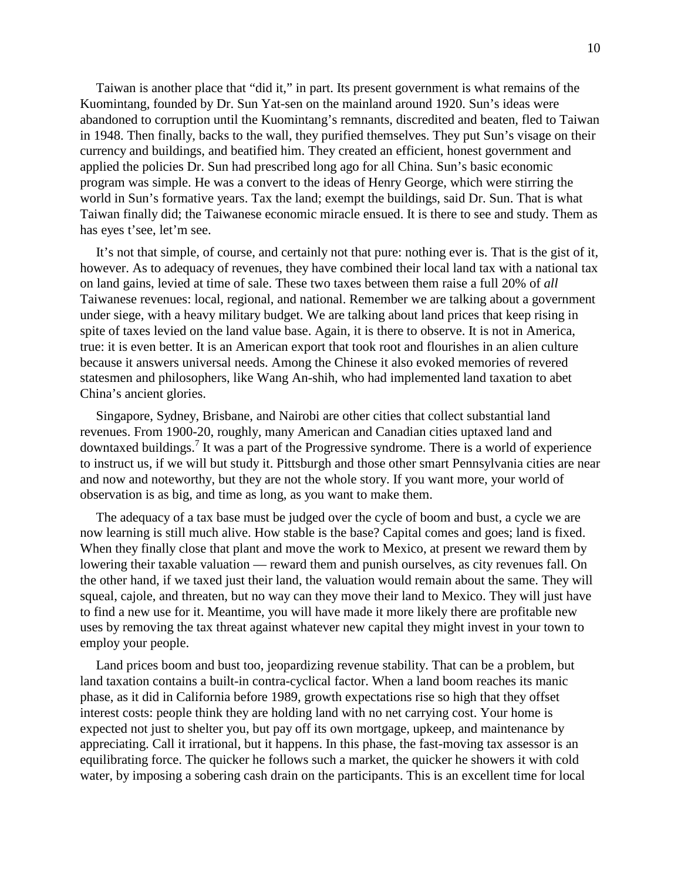<span id="page-9-0"></span>Taiwan is another place that "did it," in part. Its present government is what remains of the Kuomintang, founded by Dr. Sun Yat-sen on the mainland around 1920. Sun's ideas were abandoned to corruption until the Kuomintang's remnants, discredited and beaten, fled to Taiwan in 1948. Then finally, backs to the wall, they purified themselves. They put Sun's visage on their currency and buildings, and beatified him. They created an efficient, honest government and applied the policies Dr. Sun had prescribed long ago for all China. Sun's basic economic program was simple. He was a convert to the ideas of Henry George, which were stirring the world in Sun's formative years. Tax the land; exempt the buildings, said Dr. Sun. That is what Taiwan finally did; the Taiwanese economic miracle ensued. It is there to see and study. Them as has eyes t'see, let'm see.

It's not that simple, of course, and certainly not that pure: nothing ever is. That is the gist of it, however. As to adequacy of revenues, they have combined their local land tax with a national tax on land gains, levied at time of sale. These two taxes between them raise a full 20% of *all* Taiwanese revenues: local, regional, and national. Remember we are talking about a government under siege, with a heavy military budget. We are talking about land prices that keep rising in spite of taxes levied on the land value base. Again, it is there to observe. It is not in America, true: it is even better. It is an American export that took root and flourishes in an alien culture because it answers universal needs. Among the Chinese it also evoked memories of revered statesmen and philosophers, like Wang An-shih, who had implemented land taxation to abet China's ancient glories.

Singapore, Sydney, Brisbane, and Nairobi are other cities that collect substantial land revenues. From 1900-20, roughly, many American and Canadian cities uptaxed land and downtaxed buildings.<sup>[7](#page-9-0)</sup> It was a part of the Progressive syndrome. There is a world of experience to instruct us, if we will but study it. Pittsburgh and those other smart Pennsylvania cities are near and now and noteworthy, but they are not the whole story. If you want more, your world of observation is as big, and time as long, as you want to make them.

The adequacy of a tax base must be judged over the cycle of boom and bust, a cycle we are now learning is still much alive. How stable is the base? Capital comes and goes; land is fixed. When they finally close that plant and move the work to Mexico, at present we reward them by lowering their taxable valuation — reward them and punish ourselves, as city revenues fall. On the other hand, if we taxed just their land, the valuation would remain about the same. They will squeal, cajole, and threaten, but no way can they move their land to Mexico. They will just have to find a new use for it. Meantime, you will have made it more likely there are profitable new uses by removing the tax threat against whatever new capital they might invest in your town to employ your people.

Land prices boom and bust too, jeopardizing revenue stability. That can be a problem, but land taxation contains a built-in contra-cyclical factor. When a land boom reaches its manic phase, as it did in California before 1989, growth expectations rise so high that they offset interest costs: people think they are holding land with no net carrying cost. Your home is expected not just to shelter you, but pay off its own mortgage, upkeep, and maintenance by appreciating. Call it irrational, but it happens. In this phase, the fast-moving tax assessor is an equilibrating force. The quicker he follows such a market, the quicker he showers it with cold water, by imposing a sobering cash drain on the participants. This is an excellent time for local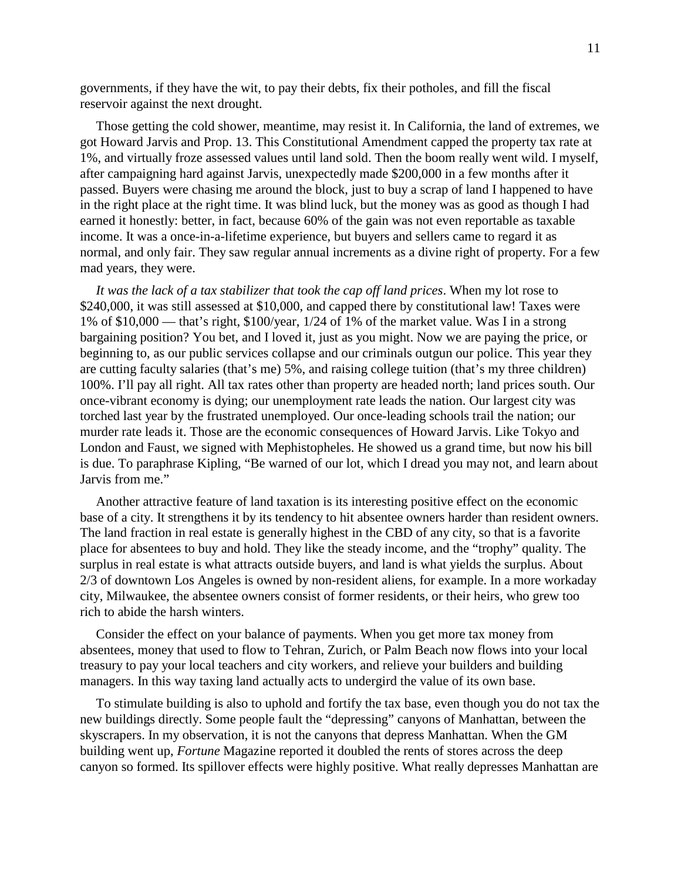governments, if they have the wit, to pay their debts, fix their potholes, and fill the fiscal reservoir against the next drought.

Those getting the cold shower, meantime, may resist it. In California, the land of extremes, we got Howard Jarvis and Prop. 13. This Constitutional Amendment capped the property tax rate at 1%, and virtually froze assessed values until land sold. Then the boom really went wild. I myself, after campaigning hard against Jarvis, unexpectedly made \$200,000 in a few months after it passed. Buyers were chasing me around the block, just to buy a scrap of land I happened to have in the right place at the right time. It was blind luck, but the money was as good as though I had earned it honestly: better, in fact, because 60% of the gain was not even reportable as taxable income. It was a once-in-a-lifetime experience, but buyers and sellers came to regard it as normal, and only fair. They saw regular annual increments as a divine right of property. For a few mad years, they were.

*It was the lack of a tax stabilizer that took the cap off land prices*. When my lot rose to \$240,000, it was still assessed at \$10,000, and capped there by constitutional law! Taxes were 1% of \$10,000 — that's right, \$100/year, 1/24 of 1% of the market value. Was I in a strong bargaining position? You bet, and I loved it, just as you might. Now we are paying the price, or beginning to, as our public services collapse and our criminals outgun our police. This year they are cutting faculty salaries (that's me) 5%, and raising college tuition (that's my three children) 100%. I'll pay all right. All tax rates other than property are headed north; land prices south. Our once-vibrant economy is dying; our unemployment rate leads the nation. Our largest city was torched last year by the frustrated unemployed. Our once-leading schools trail the nation; our murder rate leads it. Those are the economic consequences of Howard Jarvis. Like Tokyo and London and Faust, we signed with Mephistopheles. He showed us a grand time, but now his bill is due. To paraphrase Kipling, "Be warned of our lot, which I dread you may not, and learn about Jarvis from me."

Another attractive feature of land taxation is its interesting positive effect on the economic base of a city. It strengthens it by its tendency to hit absentee owners harder than resident owners. The land fraction in real estate is generally highest in the CBD of any city, so that is a favorite place for absentees to buy and hold. They like the steady income, and the "trophy" quality. The surplus in real estate is what attracts outside buyers, and land is what yields the surplus. About 2/3 of downtown Los Angeles is owned by non-resident aliens, for example. In a more workaday city, Milwaukee, the absentee owners consist of former residents, or their heirs, who grew too rich to abide the harsh winters.

Consider the effect on your balance of payments. When you get more tax money from absentees, money that used to flow to Tehran, Zurich, or Palm Beach now flows into your local treasury to pay your local teachers and city workers, and relieve your builders and building managers. In this way taxing land actually acts to undergird the value of its own base.

To stimulate building is also to uphold and fortify the tax base, even though you do not tax the new buildings directly. Some people fault the "depressing" canyons of Manhattan, between the skyscrapers. In my observation, it is not the canyons that depress Manhattan. When the GM building went up, *Fortune* Magazine reported it doubled the rents of stores across the deep canyon so formed. Its spillover effects were highly positive. What really depresses Manhattan are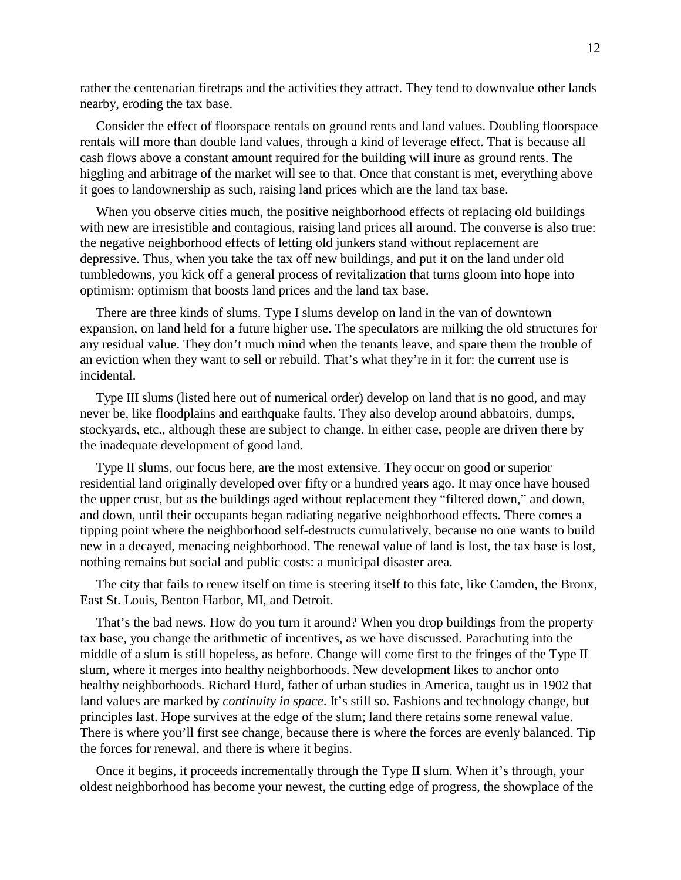rather the centenarian firetraps and the activities they attract. They tend to downvalue other lands nearby, eroding the tax base.

Consider the effect of floorspace rentals on ground rents and land values. Doubling floorspace rentals will more than double land values, through a kind of leverage effect. That is because all cash flows above a constant amount required for the building will inure as ground rents. The higgling and arbitrage of the market will see to that. Once that constant is met, everything above it goes to landownership as such, raising land prices which are the land tax base.

When you observe cities much, the positive neighborhood effects of replacing old buildings with new are irresistible and contagious, raising land prices all around. The converse is also true: the negative neighborhood effects of letting old junkers stand without replacement are depressive. Thus, when you take the tax off new buildings, and put it on the land under old tumbledowns, you kick off a general process of revitalization that turns gloom into hope into optimism: optimism that boosts land prices and the land tax base.

There are three kinds of slums. Type I slums develop on land in the van of downtown expansion, on land held for a future higher use. The speculators are milking the old structures for any residual value. They don't much mind when the tenants leave, and spare them the trouble of an eviction when they want to sell or rebuild. That's what they're in it for: the current use is incidental.

Type III slums (listed here out of numerical order) develop on land that is no good, and may never be, like floodplains and earthquake faults. They also develop around abbatoirs, dumps, stockyards, etc., although these are subject to change. In either case, people are driven there by the inadequate development of good land.

Type II slums, our focus here, are the most extensive. They occur on good or superior residential land originally developed over fifty or a hundred years ago. It may once have housed the upper crust, but as the buildings aged without replacement they "filtered down," and down, and down, until their occupants began radiating negative neighborhood effects. There comes a tipping point where the neighborhood self-destructs cumulatively, because no one wants to build new in a decayed, menacing neighborhood. The renewal value of land is lost, the tax base is lost, nothing remains but social and public costs: a municipal disaster area.

The city that fails to renew itself on time is steering itself to this fate, like Camden, the Bronx, East St. Louis, Benton Harbor, MI, and Detroit.

That's the bad news. How do you turn it around? When you drop buildings from the property tax base, you change the arithmetic of incentives, as we have discussed. Parachuting into the middle of a slum is still hopeless, as before. Change will come first to the fringes of the Type II slum, where it merges into healthy neighborhoods. New development likes to anchor onto healthy neighborhoods. Richard Hurd, father of urban studies in America, taught us in 1902 that land values are marked by *continuity in space*. It's still so. Fashions and technology change, but principles last. Hope survives at the edge of the slum; land there retains some renewal value. There is where you'll first see change, because there is where the forces are evenly balanced. Tip the forces for renewal, and there is where it begins.

Once it begins, it proceeds incrementally through the Type II slum. When it's through, your oldest neighborhood has become your newest, the cutting edge of progress, the showplace of the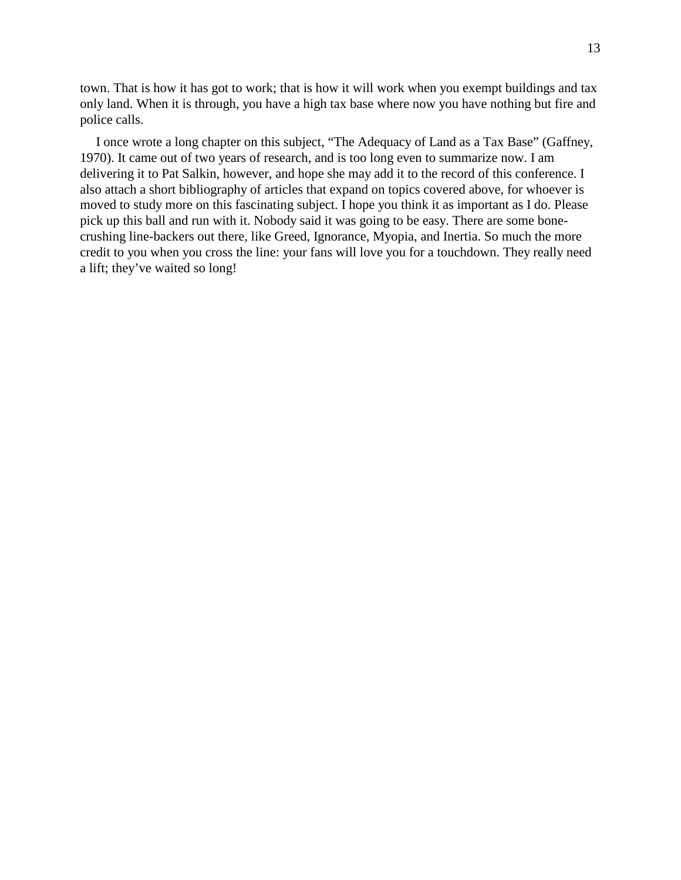town. That is how it has got to work; that is how it will work when you exempt buildings and tax only land. When it is through, you have a high tax base where now you have nothing but fire and police calls.

I once wrote a long chapter on this subject, "The Adequacy of Land as a Tax Base" (Gaffney, 1970). It came out of two years of research, and is too long even to summarize now. I am delivering it to Pat Salkin, however, and hope she may add it to the record of this conference. I also attach a short bibliography of articles that expand on topics covered above, for whoever is moved to study more on this fascinating subject. I hope you think it as important as I do. Please pick up this ball and run with it. Nobody said it was going to be easy. There are some bonecrushing line-backers out there, like Greed, Ignorance, Myopia, and Inertia. So much the more credit to you when you cross the line: your fans will love you for a touchdown. They really need a lift; they've waited so long!